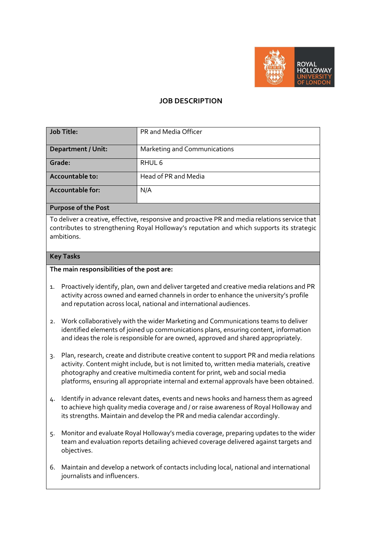

# **JOB DESCRIPTION**

| <b>Job Title:</b>         | PR and Media Officer         |
|---------------------------|------------------------------|
| <b>Department / Unit:</b> | Marketing and Communications |
| Grade:                    | RHUL 6                       |
| Accountable to:           | Head of PR and Media         |
| <b>Accountable for:</b>   | N/A                          |

#### **Purpose of the Post**

To deliver a creative, effective, responsive and proactive PR and media relations service that contributes to strengthening Royal Holloway's reputation and which supports its strategic ambitions.

#### **Key Tasks**

#### **The main responsibilities of the post are:**

- 1. Proactively identify, plan, own and deliver targeted and creative media relations and PR activity across owned and earned channels in order to enhance the university's profile and reputation across local, national and international audiences.
- 2. Work collaboratively with the wider Marketing and Communications teams to deliver identified elements of joined up communications plans, ensuring content, information and ideas the role is responsible for are owned, approved and shared appropriately.
- 3. Plan, research, create and distribute creative content to support PR and media relations activity. Content might include, but is not limited to, written media materials, creative photography and creative multimedia content for print, web and social media platforms, ensuring all appropriate internal and external approvals have been obtained.
- 4. Identify in advance relevant dates, events and news hooks and harness them as agreed to achieve high quality media coverage and / or raise awareness of Royal Holloway and its strengths. Maintain and develop the PR and media calendar accordingly.
- 5. Monitor and evaluate Royal Holloway's media coverage, preparing updates to the wider team and evaluation reports detailing achieved coverage delivered against targets and objectives.
- 6. Maintain and develop a network of contacts including local, national and international journalists and influencers.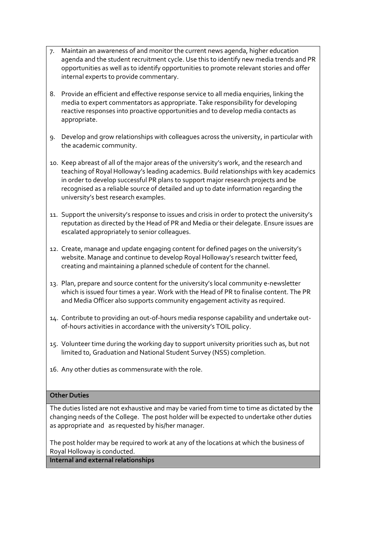- 7. Maintain an awareness of and monitor the current news agenda, higher education agenda and the student recruitment cycle. Use this to identify new media trends and PR opportunities as well as to identify opportunities to promote relevant stories and offer internal experts to provide commentary.
- 8. Provide an efficient and effective response service to all media enquiries, linking the media to expert commentators as appropriate. Take responsibility for developing reactive responses into proactive opportunities and to develop media contacts as appropriate.
- 9. Develop and grow relationships with colleagues across the university, in particular with the academic community.
- 10. Keep abreast of all of the major areas of the university's work, and the research and teaching of Royal Holloway's leading academics. Build relationships with key academics in order to develop successful PR plans to support major research projects and be recognised as a reliable source of detailed and up to date information regarding the university's best research examples.
- 11. Support the university's response to issues and crisis in order to protect the university's reputation as directed by the Head of PR and Media or their delegate. Ensure issues are escalated appropriately to senior colleagues.
- 12. Create, manage and update engaging content for defined pages on the university's website. Manage and continue to develop Royal Holloway's research twitter feed, creating and maintaining a planned schedule of content for the channel.
- 13. Plan, prepare and source content for the university's local community e-newsletter which is issued four times a year. Work with the Head of PR to finalise content. The PR and Media Officer also supports community engagement activity as required.
- 14. Contribute to providing an out-of-hours media response capability and undertake outof-hours activities in accordance with the university's TOIL policy.
- 15. Volunteer time during the working day to support university priorities such as, but not limited to, Graduation and National Student Survey (NSS) completion.
- 16. Any other duties as commensurate with the role.

#### **Other Duties**

The duties listed are not exhaustive and may be varied from time to time as dictated by the changing needs of the College. The post holder will be expected to undertake other duties as appropriate and as requested by his/her manager.

The post holder may be required to work at any of the locations at which the business of Royal Holloway is conducted.

# **Internal and external relationships**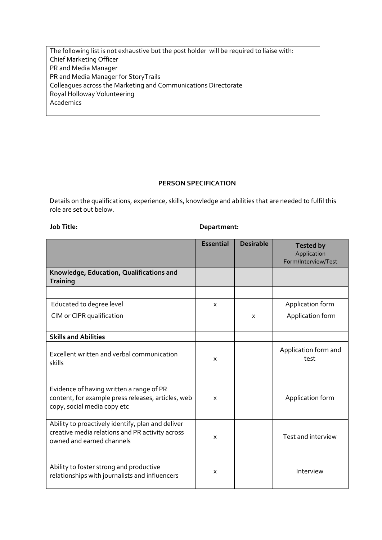The following list is not exhaustive but the post holder will be required to liaise with: Chief Marketing Officer PR and Media Manager PR and Media Manager for StoryTrails Colleagues across the Marketing and Communications Directorate Royal Holloway Volunteering Academics

### **PERSON SPECIFICATION**

Details on the qualifications, experience, skills, knowledge and abilities that are needed to fulfil this role are set out below.

# **Job Title: Department:**

|                                                                                                                                   | <b>Essential</b> | <b>Desirable</b> | <b>Tested by</b><br>Application<br>Form/Interview/Test |
|-----------------------------------------------------------------------------------------------------------------------------------|------------------|------------------|--------------------------------------------------------|
| Knowledge, Education, Qualifications and<br><b>Training</b>                                                                       |                  |                  |                                                        |
|                                                                                                                                   |                  |                  |                                                        |
| Educated to degree level                                                                                                          | X                |                  | Application form                                       |
| CIM or CIPR qualification                                                                                                         |                  | X                | Application form                                       |
|                                                                                                                                   |                  |                  |                                                        |
| <b>Skills and Abilities</b>                                                                                                       |                  |                  |                                                        |
| Excellent written and verbal communication<br>skills                                                                              | X                |                  | Application form and<br>test                           |
| Evidence of having written a range of PR<br>content, for example press releases, articles, web<br>copy, social media copy etc     | X                |                  | Application form                                       |
| Ability to proactively identify, plan and deliver<br>creative media relations and PR activity across<br>owned and earned channels | X                |                  | Test and interview                                     |
| Ability to foster strong and productive<br>relationships with journalists and influencers                                         | X                |                  | Interview                                              |